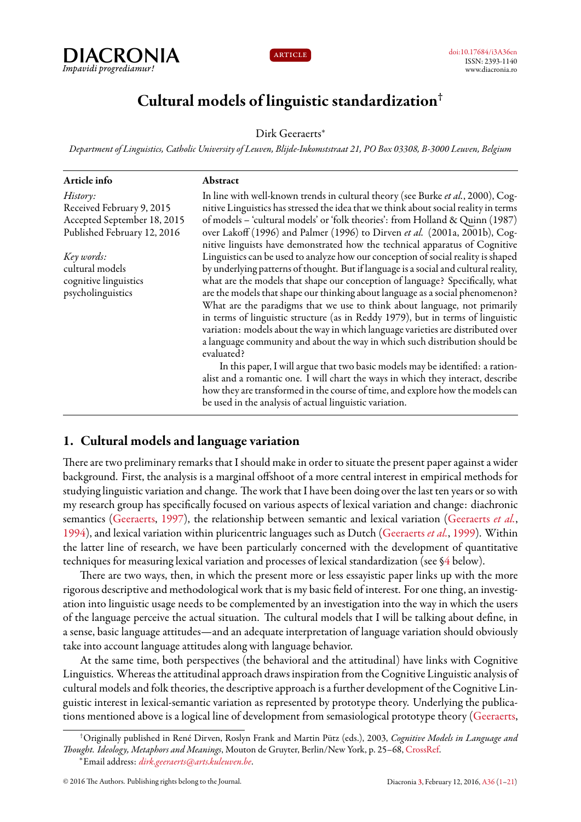



# **Cultural models of linguistic standardization†**

## Dirk Geeraerts*<sup>∗</sup>*

*Department of Linguistics, Catholic University of Leuven, Blijde-Inkomststraat 21, PO Box 03308, B-3000 Leuven, Belgium*

| Article info                | Abstract                                                                             |
|-----------------------------|--------------------------------------------------------------------------------------|
| History:                    | In line with well-known trends in cultural theory (see Burke et al., 2000), Cog-     |
| Received February 9, 2015   | nitive Linguistics has stressed the idea that we think about social reality in terms |
| Accepted September 18, 2015 | of models - 'cultural models' or 'folk theories': from Holland & Quinn (1987)        |
| Published February 12, 2016 | over Lakoff (1996) and Palmer (1996) to Dirven et al. (2001a, 2001b), Cog-           |
|                             | nitive linguists have demonstrated how the technical apparatus of Cognitive          |
| Key words:                  | Linguistics can be used to analyze how our conception of social reality is shaped    |
| cultural models             | by underlying patterns of thought. But if language is a social and cultural reality, |
| cognitive linguistics       | what are the models that shape our conception of language? Specifically, what        |
| psycholinguistics           | are the models that shape our thinking about language as a social phenomenon?        |
|                             | What are the paradigms that we use to think about language, not primarily            |
|                             | in terms of linguistic structure (as in Reddy 1979), but in terms of linguistic      |
|                             | variation: models about the way in which language varieties are distributed over     |
|                             | a language community and about the way in which such distribution should be          |
|                             | evaluated?                                                                           |
|                             | In this paper, I will argue that two basic models may be identified: a ration-       |
|                             | alist and a romantic one. I will chart the ways in which they interact, describe     |
|                             | how they are transformed in the course of time, and explore how the models can       |
|                             | be used in the analysis of actual linguistic variation.                              |

## <span id="page-0-0"></span>**1. Cultural models and language variation**

There are two preliminary remarks that I should make in order to situate the present paper against a wider background. First, the analysis is a marginal offshoot of a more central interest in empirical methods for studying linguistic variation and change. The work that I have been doing over the last ten years or so with my research group has specifically focused on various aspects of lexical variation and change: diachronic semantics([Geeraerts,](#page-20-0) [1997](#page-20-0)), the relationship between semantic and lexical variation [\(Geeraerts](#page-20-1) *et al.*, [1994\)](#page-20-1), and lexical variation within pluricentric languages such as Dutch [\(Geeraerts](#page-20-2) *et al.*, [1999](#page-20-2)). Within the latter line of research, we have been particularly concerned with the development of quantitative techniques for measuring lexical variation and processes of lexical standardization (see [§4](#page-14-0) below).

There are two ways, then, in which the present more or less essayistic paper links up with the more rigorous descriptive and methodological work that is my basic field of interest. For one thing, an investigation into linguistic usage needs to be complemented by an investigation into the way in which the users of the language perceive the actual situation. The cultural models that I will be talking about define, in a sense, basic language attitudes—and an adequate interpretation of language variation should obviously take into account language attitudes along with language behavior.

At the same time, both perspectives (the behavioral and the attitudinal) have links with Cognitive Linguistics. Whereas the attitudinal approach draws inspiration from the Cognitive Linguistic analysis of cultural models and folk theories, the descriptive approach is a further development of the Cognitive Linguistic interest in lexical-semantic variation as represented by prototype theory. Underlying the publications mentioned above is a logical line of development from semasiological prototype theory([Geeraerts](#page-20-0),

<sup>†</sup>Originally published in René Dirven, Roslyn Frank and Martin Pütz (eds.), 2003, *Cognitive Models in Language and Thought. Ideology, Metaphors and Meanings*, Mouton de Gruyter, Berlin/New York, p. 25–68, [CrossRef](http://dx.doi.org/10.1515/9783110892901.25). *<sup>∗</sup>*Email address: *[dirk.geeraerts@arts.kuleuven.be](mailto:dirk.geeraerts@arts.kuleuven.be)*.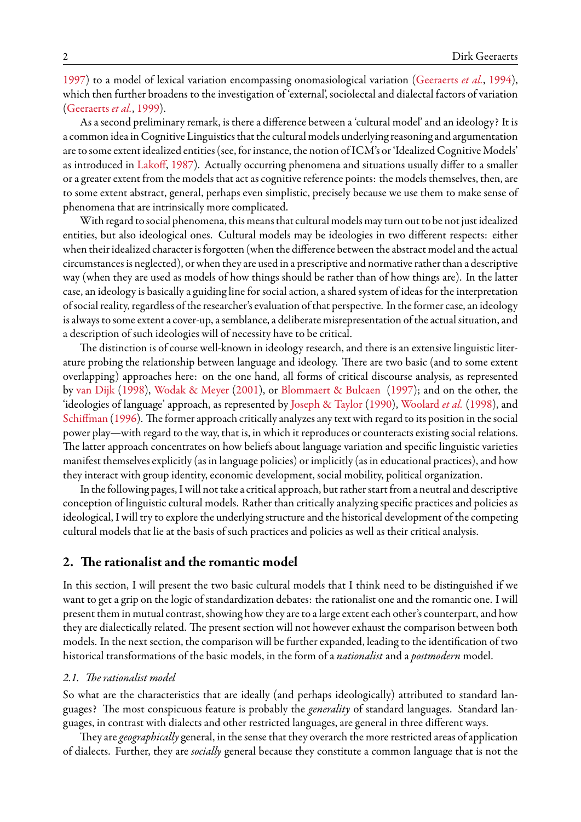[1997\)](#page-20-0) to a model of lexical variation encompassing onomasiological variation [\(Geeraerts](#page-20-1) *et al.*, [1994](#page-20-1)), which then further broadens to the investigation of 'external', sociolectal and dialectal factors of variation ([Geeraerts](#page-20-2) *et al.*, [1999](#page-20-2)).

As a second preliminary remark, is there a difference between a 'cultural model' and an ideology? It is a common idea in Cognitive Linguistics that the cultural models underlying reasoning and argumentation are to some extent idealized entities (see, for instance, the notion of ICM's or 'Idealized Cognitive Models' as introduced in [Lakoff](#page-20-3), [1987\)](#page-20-3). Actually occurring phenomena and situations usually differ to a smaller or a greater extent from the models that act as cognitive reference points: the models themselves, then, are to some extent abstract, general, perhaps even simplistic, precisely because we use them to make sense of phenomena that are intrinsically more complicated.

With regard to social phenomena, this means that cultural models may turn out to be not just idealized entities, but also ideological ones. Cultural models may be ideologies in two different respects: either when their idealized character is forgotten (when the difference between the abstract model and the actual circumstances is neglected), or when they are used in a prescriptive and normative rather than a descriptive way (when they are used as models of how things should be rather than of how things are). In the latter case, an ideology is basically a guiding line for social action, a shared system of ideas for the interpretation of social reality, regardless of the researcher's evaluation of that perspective. In the former case, an ideology is always to some extent a cover-up, a semblance, a deliberate misrepresentation of the actual situation, and a description of such ideologies will of necessity have to be critical.

The distinction is of course well-known in ideology research, and there is an extensive linguistic literature probing the relationship between language and ideology. There are two basic (and to some extent overlapping) approaches here: on the one hand, all forms of critical discourse analysis, as represented by [van Dijk](#page-19-1) ([1998](#page-19-1)), [Wodak & Meyer](#page-20-4) [\(2001](#page-20-4)), or [Blommaert & Bulcaen](#page-19-2) [\(1997\)](#page-19-2); and on the other, the 'ideologies of language' approach, as represented by [Joseph & Taylor](#page-20-5) [\(1990\)](#page-20-5), [Woolard](#page-20-6) *et al.* [\(1998\)](#page-20-6), and [Schiffman](#page-20-7) ([1996](#page-20-7)). The former approach critically analyzes any text with regard to its position in the social power play—with regard to the way, that is, in which it reproduces or counteracts existing social relations. The latter approach concentrates on how beliefs about language variation and specific linguistic varieties manifest themselves explicitly (as in language policies) or implicitly (as in educational practices), and how they interact with group identity, economic development, social mobility, political organization.

In the following pages, I will not take a critical approach, but rather start from a neutral and descriptive conception of linguistic cultural models. Rather than critically analyzing specific practices and policies as ideological, I will try to explore the underlying structure and the historical development of the competing cultural models that lie at the basis of such practices and policies as well as their critical analysis.

## **2. The rationalist and the romantic model**

In this section, I will present the two basic cultural models that I think need to be distinguished if we want to get a grip on the logic of standardization debates: the rationalist one and the romantic one. I will present them in mutual contrast, showing how they are to a large extent each other's counterpart, and how they are dialectically related. The present section will not however exhaust the comparison between both models. In the next section, the comparison will be further expanded, leading to the identification of two historical transformations of the basic models, in the form of a *nationalist* and a *postmodern* model.

#### *2.1. The rationalist model*

So what are the characteristics that are ideally (and perhaps ideologically) attributed to standard languages? The most conspicuous feature is probably the *generality* of standard languages. Standard languages, in contrast with dialects and other restricted languages, are general in three different ways.

They are*geographically* general, in the sense that they overarch the more restricted areas of application of dialects. Further, they are *socially* general because they constitute a common language that is not the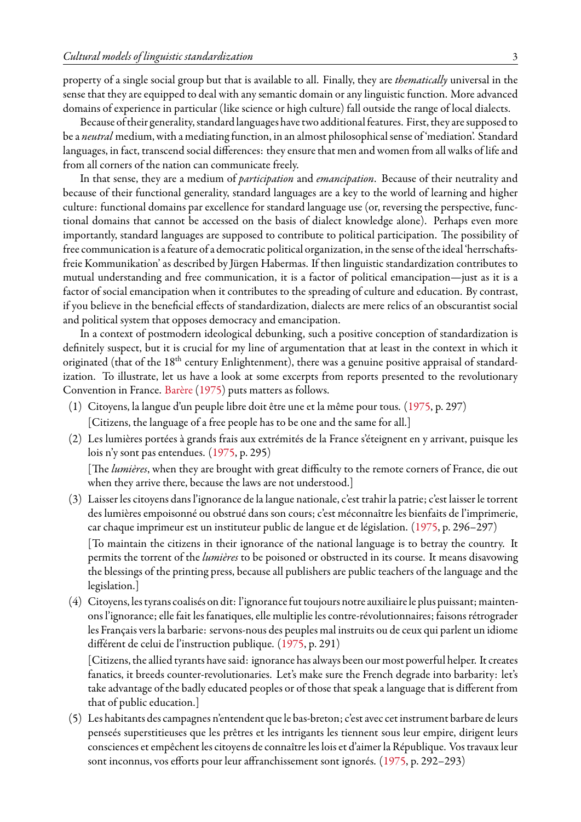property of a single social group but that is available to all. Finally, they are *thematically* universal in the sense that they are equipped to deal with any semantic domain or any linguistic function. More advanced domains of experience in particular (like science or high culture) fall outside the range of local dialects.

Because of their generality, standard languages have two additional features. First, they are supposed to be a *neutral* medium, with a mediating function, in an almost philosophical sense of 'mediation'. Standard languages, in fact, transcend social differences: they ensure that men and women from all walks of life and from all corners of the nation can communicate freely.

In that sense, they are a medium of *participation* and *emancipation*. Because of their neutrality and because of their functional generality, standard languages are a key to the world of learning and higher culture: functional domains par excellence for standard language use (or, reversing the perspective, functional domains that cannot be accessed on the basis of dialect knowledge alone). Perhaps even more importantly, standard languages are supposed to contribute to political participation. The possibility of free communication is a feature of a democratic political organization, in the sense of the ideal 'herrschaftsfreie Kommunikation' as described by Jürgen Habermas. If then linguistic standardization contributes to mutual understanding and free communication, it is a factor of political emancipation—just as it is a factor of social emancipation when it contributes to the spreading of culture and education. By contrast, if you believe in the beneficial effects of standardization, dialects are mere relics of an obscurantist social and political system that opposes democracy and emancipation.

In a context of postmodern ideological debunking, such a positive conception of standardization is definitely suspect, but it is crucial for my line of argumentation that at least in the context in which it originated (that of the 18<sup>th</sup> century Enlightenment), there was a genuine positive appraisal of standardization. To illustrate, let us have a look at some excerpts from reports presented to the revolutionary Convention in France. [Barère](#page-19-3) [\(1975](#page-19-3)) puts matters as follows.

- <span id="page-2-0"></span>(1) Citoyens, la langue d'un peuple libre doit être une et la même pour tous.([1975](#page-19-3), p. 297) [Citizens, the language of a free people has to be one and the same for all.]
- <span id="page-2-1"></span>(2) Les lumières portées à grands frais aux extrémités de la France s'éteignent en y arrivant, puisque les lois n'y sont pas entendues.([1975,](#page-19-3) p. 295)

[The *lumières*, when they are brought with great difficulty to the remote corners of France, die out when they arrive there, because the laws are not understood.]

- <span id="page-2-2"></span>(3) Laisser les citoyens dans l'ignorance de la langue nationale, c'est trahir la patrie; c'est laisser le torrent des lumières empoisonné ou obstrué dans son cours; c'est méconnaître les bienfaits de l'imprimerie, car chaque imprimeur est un instituteur public de langue et de législation. [\(1975,](#page-19-3) p. 296–297) [To maintain the citizens in their ignorance of the national language is to betray the country. It permits the torrent of the *lumières* to be poisoned or obstructed in its course. It means disavowing the blessings of the printing press, because all publishers are public teachers of the language and the legislation.]
- <span id="page-2-3"></span>(4) Citoyens, les tyrans coalisés on dit: l'ignorance fut toujours notre auxiliaire le plus puissant; maintenons l'ignorance; elle fait les fanatiques, elle multiplie les contre-révolutionnaires; faisons rétrograder les Français vers la barbarie: servons-nous des peuples mal instruits ou de ceux qui parlent un idiome différent de celui de l'instruction publique. [\(1975,](#page-19-3) p. 291)

[Citizens, the allied tyrants have said: ignorance has always been our most powerful helper. It creates fanatics, it breeds counter-revolutionaries. Let's make sure the French degrade into barbarity: let's take advantage of the badly educated peoples or of those that speak a language that is different from that of public education.]

<span id="page-2-4"></span>(5) Les habitants des campagnes n'entendent que le bas-breton; c'est avec cet instrument barbare de leurs penseés superstitieuses que les prêtres et les intrigants les tiennent sous leur empire, dirigent leurs conscien ces et empêchent les citoyens de connaître les lois et d'aimer la République. Vos travaux leur sont inconnus, vos efforts pour leur affranchissement sont ignorés.([1975,](#page-19-3) p. 292–293)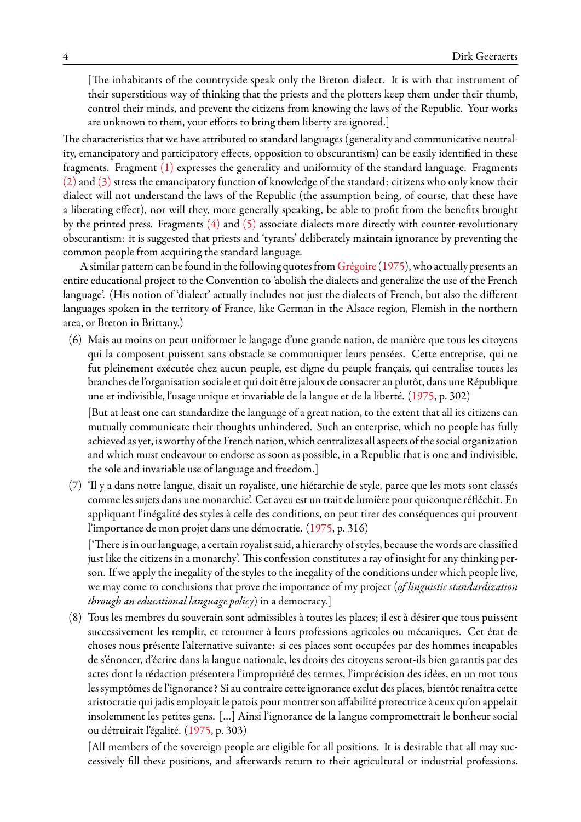[The inhabitants of the countryside speak only the Breton dialect. It is with that instrument of their superstitious way of thinking that the priests and the plotters keep them under their thumb, control their minds, and prevent the citizens from knowing the laws of the Republic. Your works are unknown to them, your efforts to bring them liberty are ignored.]

The characteristics that we have attributed to standard languages (generality and communicative neutrality, emancipatory and participatory effects, opposition to obscurantism) can be easily identified in these fragments. Fragment [\(1\)](#page-2-0) expresses the generality and uniformity of the standard language. Fragments  $(2)$  and  $(3)$  stress the emancipatory function of knowledge of the standard: citizens who only know their dialect will not understand the laws of the Republic (the assumption being, of course, that these have a liberating effect), nor will they, more generally speaking, be able to profit from the benefits brought by the printed press. Fragments [\(4\)](#page-2-3) and [\(5\)](#page-2-4) associate dialects more directly with counter-revolutionary obscurantism: it is suggested that priests and 'tyrants' deliberately maintain ignorance by preventing the common people from acquiring the standard language.

A similar pattern can be found in the following quotes from[Grégoire](#page-20-8)([1975\)](#page-20-8), who actually presents an entire educational project to the Convention to 'abolish the dialects and generalize the use of the French language'. (His notion of 'dialect' actually includes not just the dialects of French, but also the different languages spoken in the territory of France, like German in the Alsace region, Flemish in the northern area, or Breton in Brittany.)

<span id="page-3-0"></span>(6) Mais au moins on peut uniformer le langage d'une grande nation, de manière que tous les citoyens qui la composent puissent sans obstacle se communiquer leurs pensées. Cette entreprise, qui ne fut pleinement exécutée chez aucun peuple, est digne du peuple français, qui centralise toutes les branches de l'organisation sociale et qui doit être jaloux de consacrer au plutôt, dans une République uneet indivisible, l'usage unique et invariable de la langue et de la liberté. ([1975](#page-20-8), p. 302)

[But at least one can standardize the language of a great nation, to the extent that all its citizens can mutually communicate their thoughts unhindered. Such an enterprise, which no people has fully achieved as yet, is worthy of the French nation, which centralizes all aspects of the social organization and which must endeavour to endorse as soon as possible, in a Republic that is one and indivisible, the sole and invariable use of language and freedom.]

<span id="page-3-1"></span>(7) 'Il y a dans notre langue, disait un royaliste, une hiérarchie de style, parce que les mots sont classés comme les sujets dans une monarchie'. Cet aveu est un trait de lumière pour quiconque réfléchit. En appliquant l'inégalité des styles à celle des conditions, on peut tirer des conséquences qui prouvent l'importance de mon projet dans une démocratie. [\(1975,](#page-20-8) p. 316)

['There is in our language, a certain royalist said, a hierarchy of styles, because the words are classified just like the citizens in a monarchy'. This confession constitutes a ray of insight for any thinking person. If we apply the inegality of the styles to the inegality of the conditions under which people live, we may come to conclusions that prove the importance of my project (*of linguistic standardization through an educational language policy*) in a democracy.]

<span id="page-3-2"></span>(8) Tous les membres du souverain sont admissibles à toutes les places; il est à désirer que tous puissent successivement les remplir, et retourner à leurs professions agricoles ou mécaniques. Cet état de choses nous présente l'alternative suivante: si ces places sont occupées par des hommes incapables de s'énoncer, d'écrire dans la langue nationale, les droits des citoyens seront-ils bien garantis par des actes dont la rédaction présentera l'impropriété des termes, l'imprécision des idées, en un mot tous les symptômes de l'ignorance? Si au contraire cette ignorance exclut des places, bientôt renaîtra cette aristocratie qui jadis employait le patois pour montrer son affabilité protectrice à ceux qu'on appelait insolemment les petites gens. […] Ainsi l'ignorance de la langue compromettrait le bonheur social ou détruirait l'égalité.([1975](#page-20-8), p. 303)

[All members of the sovereign people are eligible for all positions. It is desirable that all may successively fill these positions, and afterwards return to their agricultural or industrial professions.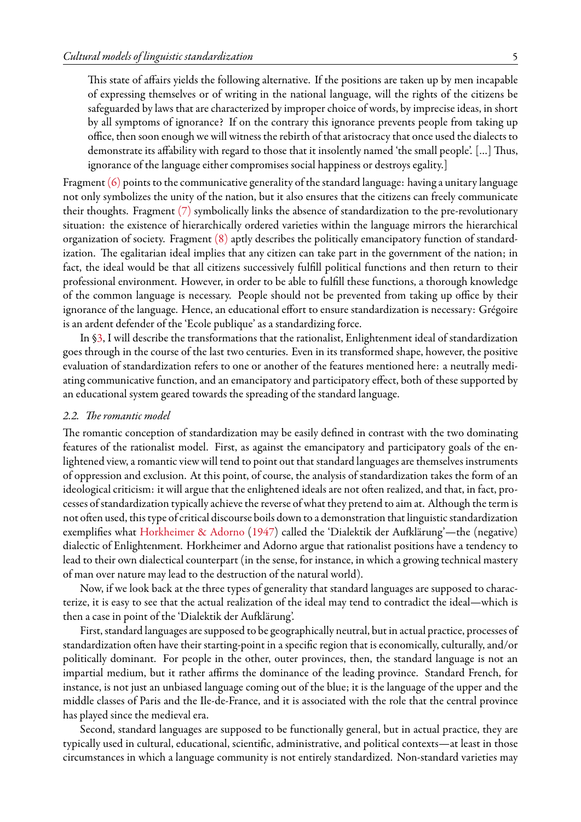This state of affairs yields the following alternative. If the positions are taken up by men incapable of expressing themselves or of writing in the national language, will the rights of the citizens be safeguarded by laws that are characterized by improper choice of words, by imprecise ideas, in short by all symptoms of ignorance? If on the contrary this ignorance prevents people from taking up office, then soon enough we will witness the rebirth of that aristocracy that once used the dialects to demonstrate its affability with regard to those that it insolently named 'the small people'. […] Thus, ignorance of the language either compromises social happiness or destroys egality.]

Fragment [\(6\)](#page-3-0) points to the communicative generality of the standard language: having a unitary language not only symbolizes the unity of the nation, but it also ensures that the citizens can freely communicate their thoughts. Fragment [\(7\)](#page-3-1) symbolically links the absence of standardization to the pre-revolutionary situation: the existence of hierarchically ordered varieties within the language mirrors the hierarchical organization of society. Fragment [\(8\)](#page-3-2) aptly describes the politically emancipatory function of standardization. The egalitarian ideal implies that any citizen can take part in the government of the nation; in fact, the ideal would be that all citizens successively fulfill political functions and then return to their professional environment. However, in order to be able to fulfill these functions, a thorough knowledge of the common language is necessary. People should not be prevented from taking up office by their ignorance of the language. Hence, an educational effort to ensure standardization is necessary: Grégoire is an ardent defender of the 'Ecole publique' as a standardizing force.

In [§3](#page-8-0), I will describe the transformations that the rationalist, Enlightenment ideal of standardization goes through in the course of the last two centuries. Even in its transformed shape, however, the positive evaluation of standardization refers to one or another of the features mentioned here: a neutrally mediating communicative function, and an emancipatory and participatory effect, both of these supported by an educational system geared towards the spreading of the standard language.

#### *2.2. The romantic model*

The romantic conception of standardization may be easily defined in contrast with the two dominating features of the rationalist model. First, as against the emancipatory and participatory goals of the enlightened view, a romantic view will tend to point out that standard languages are themselves instruments of oppression and exclusion. At this point, of course, the analysis of standardization takes the form of an ideological criticism: it will argue that the enlightened ideals are not often realized, and that, in fact, processes of standardization typically achieve the reverse of what they pretend to aim at. Although the term is not often used, this type of critical discourse boils down to a demonstration that linguistic standardization exemplifies what [Horkheimer & Adorno](#page-20-9) [\(1947](#page-20-9)) called the 'Dialektik der Aufklärung'—the (negative) dialectic of Enlightenment. Horkheimer and Adorno argue that rationalist positions have a tendency to lead to their own dialectical counterpart (in the sense, for instance, in which a growing technical mastery of man over nature may lead to the destruction of the natural world).

Now, if we look back at the three types of generality that standard languages are supposed to characterize, it is easy to see that the actual realization of the ideal may tend to contradict the ideal—which is then a case in point of the 'Dialektik der Aufklärung'.

First, standard languages are supposed to be geographically neutral, but in actual practice, processes of standardization often have their starting-point in a specific region that is economically, culturally, and/or politically dominant. For people in the other, outer provinces, then, the standard language is not an impartial medium, but it rather affirms the dominance of the leading province. Standard French, for instance, is not just an unbiased language coming out of the blue; it is the language of the upper and the middle classes of Paris and the Ile-de-France, and it is associated with the role that the central province has played since the medieval era.

Second, standard languages are supposed to be functionally general, but in actual practice, they are typically used in cultural, educational, scientific, administrative, and political contexts—at least in those circumstances in which a language community is not entirely standardized. Non-standard varieties may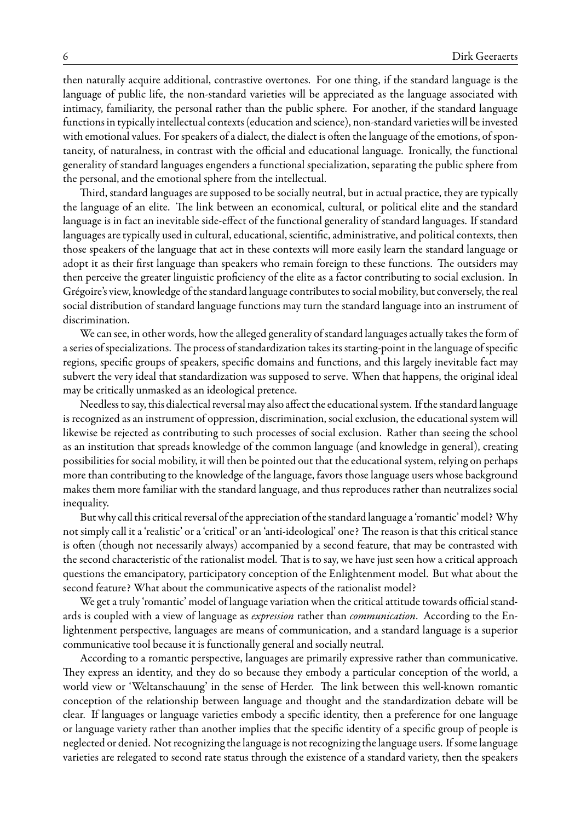then naturally acquire additional, contrastive overtones. For one thing, if the standard language is the language of public life, the non-standard varieties will be appreciated as the language associated with intimacy, familiarity, the personal rather than the public sphere. For another, if the standard language functions in typically intellectual contexts (education and science), non-standard varieties will be invested with emotional values. For speakers of a dialect, the dialect is often the language of the emotions, of spontaneity, of naturalness, in contrast with the official and educational language. Ironically, the functional generality of standard languages engenders a functional specialization, separating the public sphere from the personal, and the emotional sphere from the intellectual.

Third, standard languages are supposed to be socially neutral, but in actual practice, they are typically the language of an elite. The link between an economical, cultural, or political elite and the standard language is in fact an inevitable side-effect of the functional generality of standard languages. If standard languages are typically used in cultural, educational, scientific, administrative, and political contexts, then those speakers of the language that act in these contexts will more easily learn the standard language or adopt it as their first language than speakers who remain foreign to these functions. The outsiders may then perceive the greater linguistic proficiency of the elite as a factor contributing to social exclusion. In Grégoire's view, knowledge of the standard language contributes to social mobility, but conversely, the real social distribution of standard language functions may turn the standard language into an instrument of discrimination.

We can see, in other words, how the alleged generality of standard languages actually takes the form of a series of specializations. The process of standardization takes its starting-point in the language of specific regions, specific groups of speakers, specific domains and functions, and this largely inevitable fact may subvert the very ideal that standardization was supposed to serve. When that happens, the original ideal may be critically unmasked as an ideological pretence.

Needless to say, this dialectical reversal may also affect the educational system. If the standard language is recognized as an instrument of oppression, discrimination, social exclusion, the educational system will likewise be rejected as contributing to such processes of social exclusion. Rather than seeing the school as an institution that spreads knowledge of the common language (and knowledge in general), creating possibilities for social mobility, it will then be pointed out that the educational system, relying on perhaps more than contributing to the knowledge of the language, favors those language users whose background makes them more familiar with the standard language, and thus reproduces rather than neutralizes social inequality.

But why call this critical reversal of the appreciation of the standard language a 'romantic' model? Why not simply call it a 'realistic' or a 'critical' or an 'anti-ideological' one? The reason is that this critical stance is often (though not necessarily always) accompanied by a second feature, that may be contrasted with the second characteristic of the rationalist model. That is to say, we have just seen how a critical approach questions the emancipatory, participatory conception of the Enlightenment model. But what about the second feature? What about the communicative aspects of the rationalist model?

We get a truly 'romantic' model of language variation when the critical attitude towards official standards is coupled with a view of language as *expression* rather than *communication*. According to the Enlightenment perspective, languages are means of communication, and a standard language is a superior communicative tool because it is functionally general and socially neutral.

According to a romantic perspective, languages are primarily expressive rather than communicative. They express an identity, and they do so because they embody a particular conception of the world, a world view or 'Weltanschauung' in the sense of Herder. The link between this well-known romantic conception of the relationship between language and thought and the standardization debate will be clear. If languages or language varieties embody a specific identity, then a preference for one language or language variety rather than another implies that the specific identity of a specific group of people is neglected or denied. Not recognizing the language is not recognizing the language users. If some language varieties are relegated to second rate status through the existence of a standard variety, then the speakers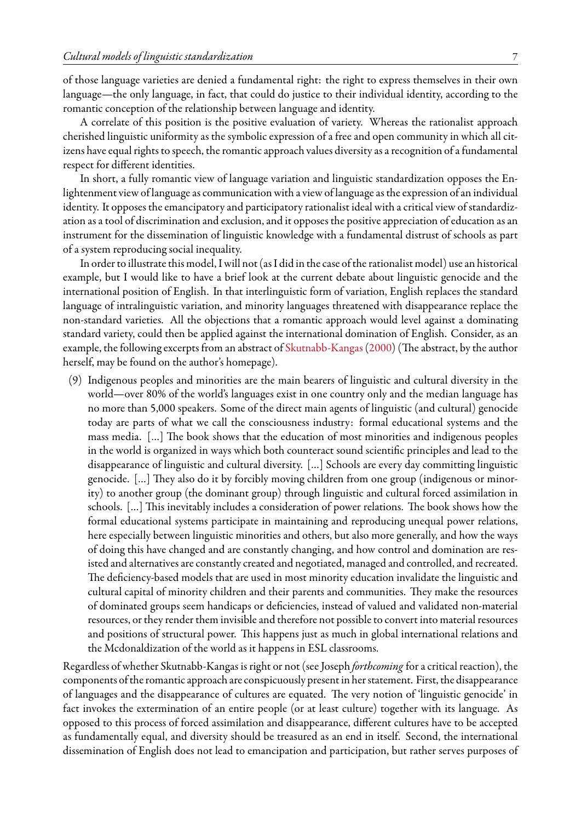of those language varieties are denied a fundamental right: the right to express themselves in their own language—the only language, in fact, that could do justice to their individual identity, according to the romantic conception of the relationship between language and identity.

A correlate of this position is the positive evaluation of variety. Whereas the rationalist approach cherished linguistic uniformity as the symbolic expression of a free and open community in which all citizens have equal rights to speech, the romantic approach values diversity as a recognition of a fundamental respect for different identities.

In short, a fully romantic view of language variation and linguistic standardization opposes the Enlightenment view of language as communication with a view of language as the expression of an individual identity. It opposes the emancipatory and participatory rationalist ideal with a critical view of standardization as a tool of discrimination and exclusion, and it opposes the positive appreciation of education as an instrument for the dissemination of linguistic knowledge with a fundamental distrust of schools as part of a system reproducing social inequality.

In order to illustrate this model, I will not (as I did in the case of the rationalist model) use an historical example, but I would like to have a brief look at the current debate about linguistic genocide and the international position of English. In that interlinguistic form of variation, English replaces the standard language of intralinguistic variation, and minority languages threatened with disappearance replace the non-standard varieties. All the objections that a romantic approach would level against a dominating standard variety, could then be applied against the international domination of English. Consider, as an example, the following excerpts from an abstract of [Skutnabb-Kangas](#page-20-10) [\(2000](#page-20-10)) (The abstract, by the author herself, may be found on the author's homepage).

(9) Indigenous peoples and minorities are the main bearers of linguistic and cultural diversity in the world—over 80% of the world's languages exist in one country only and the median language has no more than 5,000 speakers. Some of the direct main agents of linguistic (and cultural) genocide today are parts of what we call the consciousness industry: formal educational systems and the mass media. […] The book shows that the education of most minorities and indigenous peoples in the world is organized in ways which both counteract sound scientific principles and lead to the disappearance of linguistic and cultural diversity. […] Schools are every day committing linguistic genocide. […] They also do it by forcibly moving children from one group (indigenous or minority) to another group (the dominant group) through linguistic and cultural forced assimilation in schools. […] This inevitably includes a consideration of power relations. The book shows how the formal educational systems participate in maintaining and reproducing unequal power relations, here especially between linguistic minorities and others, but also more generally, and how the ways of doing this have changed and are constantly changing, and how control and domination are resisted and alternatives are constantly created and negotiated, managed and controlled, and recreated. The deficiency-based models that are used in most minority education invalidate the linguistic and cultural capital of minority children and their parents and communities. They make the resources of dominated groups seem handicaps or deficiencies, instead of valued and validated non-material resources, or they render them invisible and therefore not possible to convert into material resources and positions of structural power. This happens just as much in global international relations and the Mcdonaldization of the world as it happens in ESL classrooms.

Regardless of whether Skutnabb-Kangas is right or not (see Joseph *forthcoming* for a critical reaction), the components of the romantic approach are conspicuously present in her statement. First, the disappearance of languages and the disappearance of cultures are equated. The very notion of 'linguistic genocide' in fact invokes the extermination of an entire people (or at least culture) together with its language. As opposed to this process of forced assimilation and disappearance, different cultures have to be accepted as fundamentally equal, and diversity should be treasured as an end in itself. Second, the international dissemination of English does not lead to emancipation and participation, but rather serves purposes of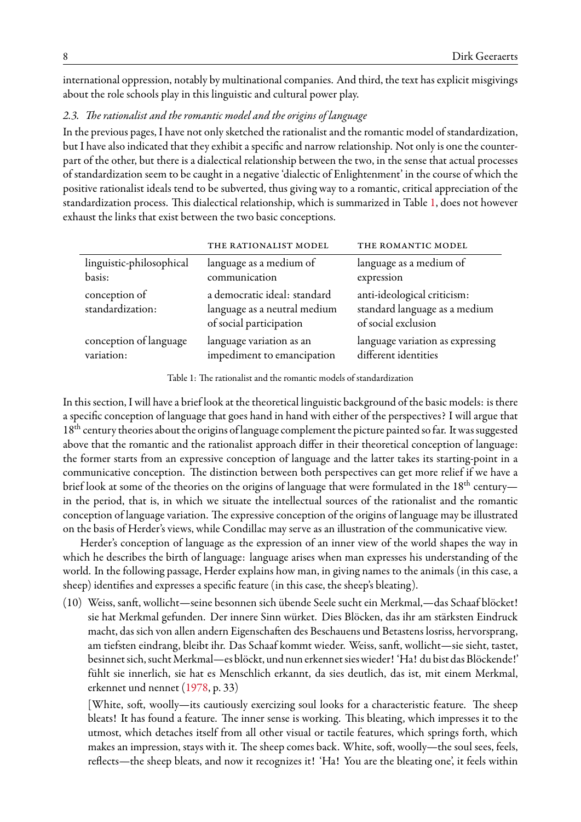international oppression, notably by multinational companies. And third, the text has explicit misgivings about the role schools play in this linguistic and cultural power play.

#### *2.3. The rationalist and the romantic model and the origins of language*

In the previous pages, I have not only sketched the rationalist and the romantic model of standardization, but I have also indicated that they exhibit a specific and narrow relationship. Not only is one the counterpart of the other, but there is a dialectical relationship between the two, in the sense that actual processes of standardization seem to be caught in a negative 'dialectic of Enlightenment' in the course of which the positive rationalist ideals tend to be subverted, thus giving way to a romantic, critical appreciation of the standardization process. This dialectical relationship, which is summarized in Table [1,](#page-7-0) does not however exhaust the links that exist between the two basic conceptions.

|                                   | THE RATIONALIST MODEL                                                                   | THE ROMANTIC MODEL                                                                  |
|-----------------------------------|-----------------------------------------------------------------------------------------|-------------------------------------------------------------------------------------|
| linguistic-philosophical          | language as a medium of                                                                 | language as a medium of                                                             |
| basis:                            | communication                                                                           | expression                                                                          |
| conception of<br>standardization: | a democratic ideal: standard<br>language as a neutral medium<br>of social participation | anti-ideological criticism:<br>standard language as a medium<br>of social exclusion |
| conception of language            | language variation as an                                                                | language variation as expressing                                                    |
| variation:                        | impediment to emancipation                                                              | different identities                                                                |

<span id="page-7-0"></span>Table 1: The rationalist and the romantic models of standardization

In this section, I will have a brief look at the theoretical linguistic background of the basic models: is there a specific conception of language that goes hand in hand with either of the perspectives? I will argue that 18<sup>th</sup> century theories about the origins of language complement the picture painted so far. It was suggested above that the romantic and the rationalist approach differ in their theoretical conception of language: the former starts from an expressive conception of language and the latter takes its starting-point in a communicative conception. The distinction between both perspectives can get more relief if we have a brief look at some of the theories on the origins of language that were formulated in the 18<sup>th</sup> centuryin the period, that is, in which we situate the intellectual sources of the rationalist and the romantic conception of language variation. The expressive conception of the origins of language may be illustrated on the basis of Herder's views, while Condillac may serve as an illustration of the communicative view.

Herder's conception of language as the expression of an inner view of the world shapes the way in which he describes the birth of language: language arises when man expresses his understanding of the world. In the following passage, Herder explains how man, in giving names to the animals (in this case, a sheep) identifies and expresses a specific feature (in this case, the sheep's bleating).

<span id="page-7-1"></span>(10) Weiss, sanft, wollicht—seine besonnen sich übende Seele sucht ein Merkmal,—das Schaaf blöcket! sie hat Merkmal gefunden. Der innere Sinn würket. Dies Blöcken, das ihr am stärksten Eindruck macht, das sich von allen andern Eigenschaften des Beschauens und Betastens losriss, hervorsprang, am tiefsten eindrang, bleibt ihr. Das Schaaf kommt wieder. Weiss, sanft, wollicht—sie sieht, tastet, besinnet sich, sucht Merkmal—es blöckt, und nun erkennet sies wieder! 'Ha! du bist das Blöckende!' fühlt sie innerlich, sie hat es Menschlich erkannt, da sies deutlich, das ist, mit einem Merkmal, erkennet und nennet [\(1978](#page-20-11), p. 33)

[White, soft, woolly—its cautiously exercizing soul looks for a characteristic feature. The sheep bleats! It has found a feature. The inner sense is working. This bleating, which impresses it to the utmost, which detaches itself from all other visual or tactile features, which springs forth, which makes an impression, stays with it. The sheep comes back. White, soft, woolly—the soul sees, feels, reflects—the sheep bleats, and now it recognizes it! 'Ha! You are the bleating one', it feels within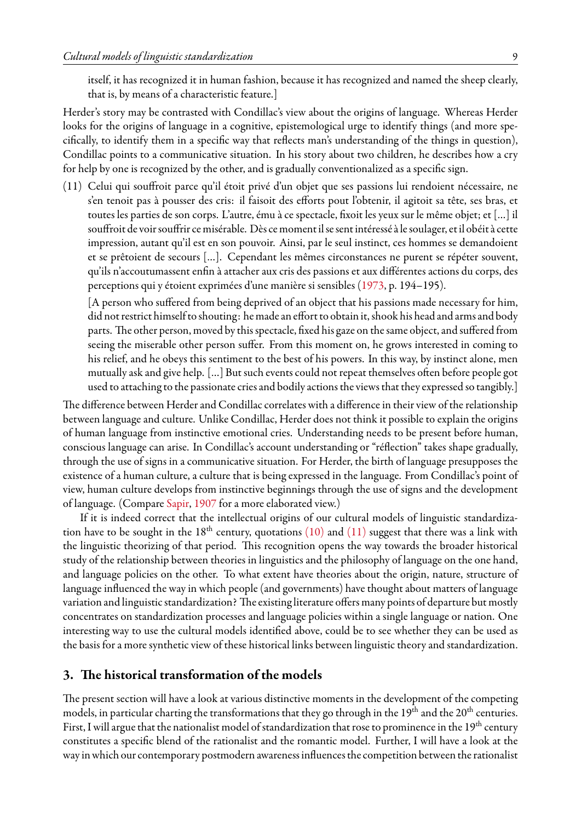itself, it has recognized it in human fashion, because it has recognized and named the sheep clearly, that is, by means of a characteristic feature.]

Herder's story may be contrasted with Condillac's view about the origins of language. Whereas Herder looks for the origins of language in a cognitive, epistemological urge to identify things (and more specifically, to identify them in a specific way that reflects man's understanding of the things in question), Condillac points to a communicative situation. In his story about two children, he describes how a cry for help by one is recognized by the other, and is gradually conventionalized as a specific sign.

<span id="page-8-1"></span>(11) Celui qui souffroit parce qu'il étoit privé d'un objet que ses passions lui rendoient nécessaire, ne s'en tenoit pas à pousser des cris: il faisoit des efforts pout l'obtenir, il agitoit sa tête, ses bras, et toutes les parties de son corps. L'autre, ému à ce spectacle, fixoit les yeux sur le même objet; et […] il souffroit de voir souffrir ce misérable. Dès ce moment il se sent intéressé à le soulager, et il obéit à cette impression, autant qu'il est en son pouvoir. Ainsi, par le seul instinct, ces hommes se demandoient et se prêtoient de secours […]. Cependant les mêmes circonstances ne purent se répéter souvent, qu'ils n'accoutumassent enfin à attacher aux cris des passions et aux différentes actions du corps, des perceptions qui y étoient exprimées d'une manière si sensibles [\(1973,](#page-19-4) p. 194–195).

[A person who suffered from being deprived of an object that his passions made necessary for him, did not restrict himself to shouting: he made an effort to obtain it, shook his head and arms and body parts. The other person, moved by this spectacle, fixed his gaze on the same object, and suffered from seeing the miserable other person suffer. From this moment on, he grows interested in coming to his relief, and he obeys this sentiment to the best of his powers. In this way, by instinct alone, men mutually ask and give help. […] But such events could not repeat themselves often before people got used to attaching to the passionate cries and bodily actions the views that they expressed so tangibly.]

The difference between Herder and Condillac correlates with a difference in their view of the relationship between language and culture. Unlike Condillac, Herder does not think it possible to explain the origins of human language from instinctive emotional cries. Understanding needs to be present before human, conscious language can arise. In Condillac's account understanding or "réflection" takes shape gradually, through the use of signs in a communicative situation. For Herder, the birth of language presupposes the existence of a human culture, a culture that is being expressed in the language. From Condillac's point of view, human culture develops from instinctive beginnings through the use of signs and the development of language. (Compare [Sapir,](#page-20-12) [1907](#page-20-12) for a more elaborated view.)

If it is indeed correct that the intellectual origins of our cultural models of linguistic standardization have to be sought in the  $18<sup>th</sup>$  century, quotations  $(10)$  and  $(11)$  suggest that there was a link with the linguistic theorizing of that period. This recognition opens the way towards the broader historical study of the relationship between theories in linguistics and the philosophy of language on the one hand, and language policies on the other. To what extent have theories about the origin, nature, structure of language influenced the way in which people (and governments) have thought about matters of language variation and linguistic standardization? The existing literature offers many points of departure but mostly concentrates on standardization processes and language policies within a single language or nation. One interesting way to use the cultural models identified above, could be to see whether they can be used as the basis for a more synthetic view of these historical links between linguistic theory and standardization.

## <span id="page-8-0"></span>**3. The historical transformation of the models**

The present section will have a look at various distinctive moments in the development of the competing models, in particular charting the transformations that they go through in the 19<sup>th</sup> and the 20<sup>th</sup> centuries. First, I will argue that the nationalist model of standardization that rose to prominence in the 19<sup>th</sup> century constitutes a specific blend of the rationalist and the romantic model. Further, I will have a look at the way in which our contemporary postmodern awareness influences the competition between the rationalist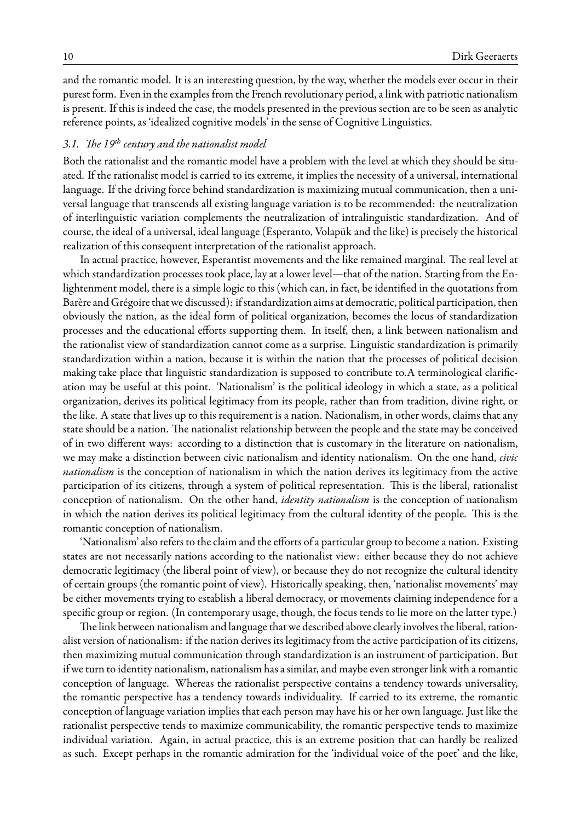and the romantic model. It is an interesting question, by the way, whether the models ever occur in their purest form. Even in the examples from the French revolutionary period, a link with patriotic nationalism is present. If this is indeed the case, the models presented in the previous section are to be seen as analytic reference points, as 'idealized cognitive models' in the sense of Cognitive Linguistics.

## *3.1. The 19th century and the nationalist model*

Both the rationalist and the romantic model have a problem with the level at which they should be situated. If the rationalist model is carried to its extreme, it implies the necessity of a universal, international language. If the driving force behind standardization is maximizing mutual communication, then a universal language that transcends all existing language variation is to be recommended: the neutralization of interlinguistic variation complements the neutralization of intralinguistic standardization. And of course, the ideal of a universal, ideal language (Esperanto, Volapük and the like) is precisely the historical realization of this consequent interpretation of the rationalist approach.

In actual practice, however, Esperantist movements and the like remained marginal. The real level at which standardization processes took place, lay at a lower level—that of the nation. Starting from the Enlightenment model, there is a simple logic to this (which can, in fact, be identified in the quotations from Barère and Grégoire that we discussed): if standardization aims at democratic, political participation, then obviously the nation, as the ideal form of political organization, becomes the locus of standardization processes and the educational efforts supporting them. In itself, then, a link between nationalism and the rationalist view of standardization cannot come as a surprise. Linguistic standardization is primarily standardization within a nation, because it is within the nation that the processes of political decision making take place that linguistic standardization is supposed to contribute to.A terminological clarification may be useful at this point. 'Nationalism' is the political ideology in which a state, as a political organization, derives its political legitimacy from its people, rather than from tradition, divine right, or the like. A state that lives up to this requirement is a nation. Nationalism, in other words, claims that any state should be a nation. The nationalist relationship between the people and the state may be conceived of in two different ways: according to a distinction that is customary in the literature on nationalism, we may make a distinction between civic nationalism and identity nationalism. On the one hand, *civic nationalism* is the conception of nationalism in which the nation derives its legitimacy from the active participation of its citizens, through a system of political representation. This is the liberal, rationalist conception of nationalism. On the other hand, *identity nationalism* is the conception of nationalism in which the nation derives its political legitimacy from the cultural identity of the people. This is the romantic conception of nationalism.

'Nationalism' also refers to the claim and the efforts of a particular group to become a nation. Existing states are not necessarily nations according to the nationalist view: either because they do not achieve democratic legitimacy (the liberal point of view), or because they do not recognize the cultural identity of certain groups (the romantic point of view). Historically speaking, then, 'nationalist movements' may be either movements trying to establish a liberal democracy, or movements claiming independence for a specific group or region. (In contemporary usage, though, the focus tends to lie more on the latter type.)

The link between nationalism and language that we described above clearly involves the liberal, rationalist version of nationalism: if the nation derives its legitimacy from the active participation of its citizens, then maximizing mutual communication through standardization is an instrument of participation. But if we turn to identity nationalism, nationalism has a similar, and maybe even stronger link with a romantic conception of language. Whereas the rationalist perspective contains a tendency towards universality, the romantic perspective has a tendency towards individuality. If carried to its extreme, the romantic conception of language variation implies that each person may have his or her own language. Just like the rationalist perspective tends to maximize communicability, the romantic perspective tends to maximize individual variation. Again, in actual practice, this is an extreme position that can hardly be realized as such. Except perhaps in the romantic admiration for the 'individual voice of the poet' and the like,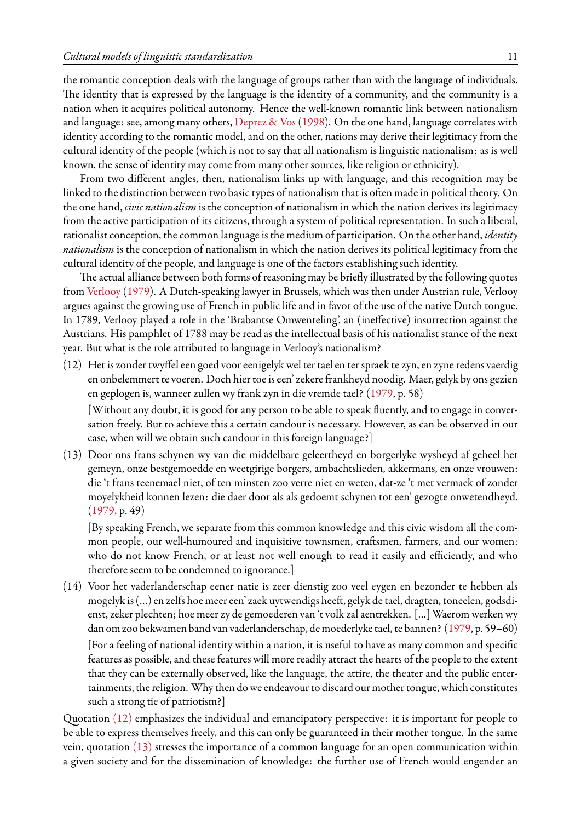the romantic conception deals with the language of groups rather than with the language of individuals. The identity that is expressed by the language is the identity of a community, and the community is a nation when it acquires political autonomy. Hence the well-known romantic link between nationalism and language: see, among many others, [Deprez & Vos](#page-19-5) [\(1998\)](#page-19-5). On the one hand, language correlates with identity according to the romantic model, and on the other, nations may derive their legitimacy from the cultural identity of the people (which is not to say that all nationalism is linguistic nationalism: as is well known, the sense of identity may come from many other sources, like religion or ethnicity).

From two different angles, then, nationalism links up with language, and this recognition may be linked to the distinction between two basic types of nationalism that is often made in political theory. On the one hand, *civic nationalism* is the conception of nationalism in which the nation derives its legitimacy from the active participation of its citizens, through a system of political representation. In such a liberal, rationalist conception, the common language is the medium of participation. On the other hand, *identity nationalism* is the conception of nationalism in which the nation derives its political legitimacy from the cultural identity of the people, and language is one of the factors establishing such identity.

The actual alliance between both forms of reasoning may be briefly illustrated by the following quotes from [Verlooy](#page-20-13) [\(1979](#page-20-13)). A Dutch-speaking lawyer in Brussels, which was then under Austrian rule, Verlooy argues against the growing use of French in public life and in favor of the use of the native Dutch tongue. In 1789, Verlooy played a role in the 'Brabantse Omwenteling', an (ineffective) insurrection against the Austrians. His pamphlet of 1788 may be read as the intellectual basis of his nationalist stance of the next year. But what is the role attributed to language in Verlooy's nationalism?

<span id="page-10-0"></span>(12) Het is zonder twyffel een goed voor eenigelyk wel ter tael en ter spraek te zyn, en zyne redens vaerdig en onbelemmert te voeren. Doch hier toe is een' zekere frankheyd noodig. Maer, gelyk by ons gezien en geplogen is, wanneer zullen wy frank zyn in die vremde tael? [\(1979,](#page-20-13) p. 58)

[Without any doubt, it is good for any person to be able to speak fluently, and to engage in conversation freely. But to achieve this a certain candour is necessary. However, as can be observed in our case, when will we obtain such candour in this foreign language?]

<span id="page-10-1"></span>(13) Door ons frans schynen wy van die middelbare geleertheyd en borgerlyke wysheyd af geheel het gemeyn, onze bestgemoedde en weetgirige borgers, ambachtslieden, akkermans, en onze vrouwen: die 't frans teenemael niet, of ten minsten zoo verre niet en weten, dat-ze 't met vermaek of zonder moyelykheid konnen lezen: die daer door als als gedoemt schynen tot een' gezogte onwetendheyd. [\(1979](#page-20-13), p. 49)

[By speaking French, we separate from this common knowledge and this civic wisdom all the common people, our well-humoured and inquisitive townsmen, craftsmen, farmers, and our women: who do not know French, or at least not well enough to read it easily and efficiently, and who therefore seem to be condemned to ignorance.]

<span id="page-10-2"></span>(14) Voor het vaderlanderschap eener natie is zeer dienstig zoo veel eygen en bezonder te hebben als mogelyk is (…) en zelfs hoe meer een' zaek uytwendigs heeft, gelyk de tael, dragten, toneelen, godsdienst, zeker plechten; hoe meer zy de gemoederen van 't volk zal aentrekken. […] Waerom werken wy dan om zoo bekwamen band van vaderlanderschap, de moederlyke tael, te bannen? [\(1979,](#page-20-13) p. 59–60) [For a feeling of national identity within a nation, it is useful to have as many common and specific features as possible, and these features will more readily attract the hearts of the people to the extent that they can be externally observed, like the language, the attire, the theater and the public entertainments, the religion. Why then do we endeavour to discard our mother tongue, which constitutes such a strong tie of patriotism?]

Quotation [\(12\)](#page-10-0) emphasizes the individual and emancipatory perspective: it is important for people to be able to express themselves freely, and this can only be guaranteed in their mother tongue. In the same vein, quotation  $(13)$  stresses the importance of a common language for an open communication within a given society and for the dissemination of knowledge: the further use of French would engender an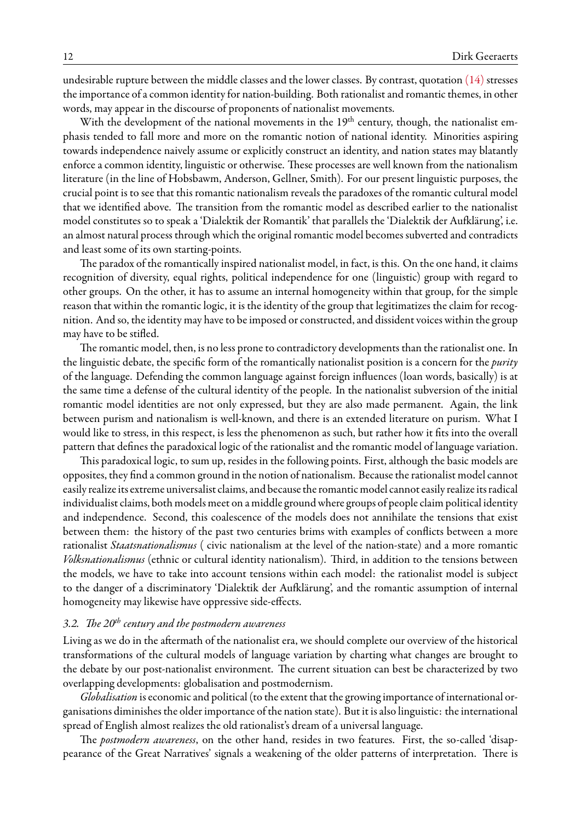undesirable rupture between the middle classes and the lower classes. By contrast, quotation [\(14\)](#page-10-2) stresses the importance of a common identity for nation-building. Both rationalist and romantic themes, in other words, may appear in the discourse of proponents of nationalist movements.

With the development of the national movements in the 19<sup>th</sup> century, though, the nationalist emphasis tended to fall more and more on the romantic notion of national identity. Minorities aspiring towards independence naively assume or explicitly construct an identity, and nation states may blatantly enforce a common identity, linguistic or otherwise. These processes are well known from the nationalism literature (in the line of Hobsbawm, Anderson, Gellner, Smith). For our present linguistic purposes, the crucial point is to see that this romantic nationalism reveals the paradoxes of the romantic cultural model that we identified above. The transition from the romantic model as described earlier to the nationalist model constitutes so to speak a 'Dialektik der Romantik' that parallels the 'Dialektik der Aufklärung', i.e. an almost natural process through which the original romantic model becomes subverted and contradicts and least some of its own starting-points.

The paradox of the romantically inspired nationalist model, in fact, is this. On the one hand, it claims recognition of diversity, equal rights, political independence for one (linguistic) group with regard to other groups. On the other, it has to assume an internal homogeneity within that group, for the simple reason that within the romantic logic, it is the identity of the group that legitimatizes the claim for recognition. And so, the identity may have to be imposed or constructed, and dissident voices within the group may have to be stifled.

The romantic model, then, is no less prone to contradictory developments than the rationalist one. In the linguistic debate, the specific form of the romantically nationalist position is a concern for the *purity* of the language. Defending the common language against foreign influences (loan words, basically) is at the same time a defense of the cultural identity of the people. In the nationalist subversion of the initial romantic model identities are not only expressed, but they are also made permanent. Again, the link between purism and nationalism is well-known, and there is an extended literature on purism. What I would like to stress, in this respect, is less the phenomenon as such, but rather how it fits into the overall pattern that defines the paradoxical logic of the rationalist and the romantic model of language variation.

This paradoxical logic, to sum up, resides in the following points. First, although the basic models are opposites, they find a common ground in the notion of nationalism. Because the rationalist model cannot easily realize its extreme universalist claims, and because the romantic model cannot easily realize its radical individualist claims, both models meet on a middle ground where groups of people claim political identity and independence. Second, this coalescence of the models does not annihilate the tensions that exist between them: the history of the past two centuries brims with examples of conflicts between a more rationalist *Staatsnationalismus* ( civic nationalism at the level of the nation-state) and a more romantic *Volksnationalismus* (ethnic or cultural identity nationalism). Third, in addition to the tensions between the models, we have to take into account tensions within each model: the rationalist model is subject to the danger of a discriminatory 'Dialektik der Aufklärung', and the romantic assumption of internal homogeneity may likewise have oppressive side-effects.

#### <span id="page-11-0"></span>*3.2. The 20th century and the postmodern awareness*

Living as we do in the aftermath of the nationalist era, we should complete our overview of the historical transformations of the cultural models of language variation by charting what changes are brought to the debate by our post-nationalist environment. The current situation can best be characterized by two overlapping developments: globalisation and postmodernism.

*Globalisation* is economic and political (to the extent that the growing importance of international organisations diminishes the older importance of the nation state). But it is also linguistic: the international spread of English almost realizes the old rationalist's dream of a universal language.

The *postmodern awareness*, on the other hand, resides in two features. First, the so-called 'disappearance of the Great Narratives' signals a weakening of the older patterns of interpretation. There is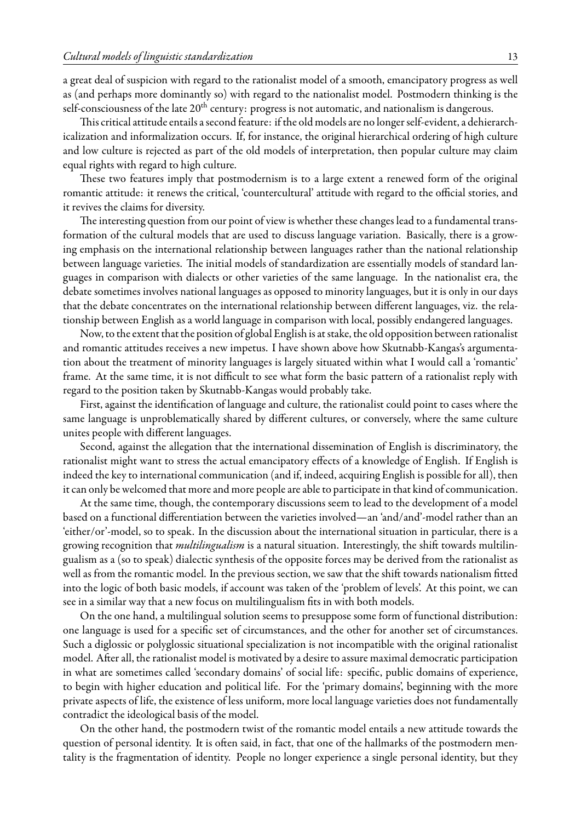a great deal of suspicion with regard to the rationalist model of a smooth, emancipatory progress as well as (and perhaps more dominantly so) with regard to the nationalist model. Postmodern thinking is the self-consciousness of the late 20<sup>th</sup> century: progress is not automatic, and nationalism is dangerous.

This critical attitude entails a second feature: if the old models are no longer self-evident, a dehierarchicalization and informalization occurs. If, for instance, the original hierarchical ordering of high culture and low culture is rejected as part of the old models of interpretation, then popular culture may claim equal rights with regard to high culture.

These two features imply that postmodernism is to a large extent a renewed form of the original romantic attitude: it renews the critical, 'countercultural' attitude with regard to the official stories, and it revives the claims for diversity.

The interesting question from our point of view is whether these changes lead to a fundamental transformation of the cultural models that are used to discuss language variation. Basically, there is a growing emphasis on the international relationship between languages rather than the national relationship between language varieties. The initial models of standardization are essentially models of standard languages in comparison with dialects or other varieties of the same language. In the nationalist era, the debate sometimes involves national languages as opposed to minority languages, but it is only in our days that the debate concentrates on the international relationship between different languages, viz. the relationship between English as a world language in comparison with local, possibly endangered languages.

Now, to the extent that the position of global English is at stake, the old opposition between rationalist and romantic attitudes receives a new impetus. I have shown above how Skutnabb-Kangas's argumentation about the treatment of minority languages is largely situated within what I would call a 'romantic' frame. At the same time, it is not difficult to see what form the basic pattern of a rationalist reply with regard to the position taken by Skutnabb-Kangas would probably take.

First, against the identification of language and culture, the rationalist could point to cases where the same language is unproblematically shared by different cultures, or conversely, where the same culture unites people with different languages.

Second, against the allegation that the international dissemination of English is discriminatory, the rationalist might want to stress the actual emancipatory effects of a knowledge of English. If English is indeed the key to international communication (and if, indeed, acquiring English is possible for all), then it can only be welcomed that more and more people are able to participate in that kind of communication.

At the same time, though, the contemporary discussions seem to lead to the development of a model based on a functional differentiation between the varieties involved—an 'and/and'-model rather than an 'either/or'-model, so to speak. In the discussion about the international situation in particular, there is a growing recognition that *multilingualism* is a natural situation. Interestingly, the shift towards multilingualism as a (so to speak) dialectic synthesis of the opposite forces may be derived from the rationalist as well as from the romantic model. In the previous section, we saw that the shift towards nationalism fitted into the logic of both basic models, if account was taken of the 'problem of levels'. At this point, we can see in a similar way that a new focus on multilingualism fits in with both models.

On the one hand, a multilingual solution seems to presuppose some form of functional distribution: one language is used for a specific set of circumstances, and the other for another set of circumstances. Such a diglossic or polyglossic situational specialization is not incompatible with the original rationalist model. After all, the rationalist model is motivated by a desire to assure maximal democratic participation in what are sometimes called 'secondary domains' of social life: specific, public domains of experience, to begin with higher education and political life. For the 'primary domains', beginning with the more private aspects of life, the existence of less uniform, more local language varieties does not fundamentally contradict the ideological basis of the model.

On the other hand, the postmodern twist of the romantic model entails a new attitude towards the question of personal identity. It is often said, in fact, that one of the hallmarks of the postmodern mentality is the fragmentation of identity. People no longer experience a single personal identity, but they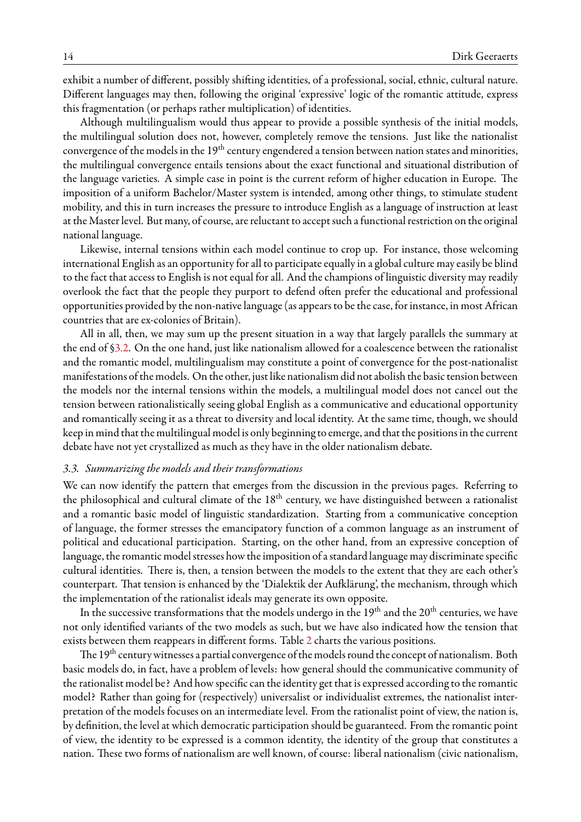exhibit a number of different, possibly shifting identities, of a professional, social, ethnic, cultural nature. Different languages may then, following the original 'expressive' logic of the romantic attitude, express this fragmentation (or perhaps rather multiplication) of identities.

Although multilingualism would thus appear to provide a possible synthesis of the initial models, the multilingual solution does not, however, completely remove the tensions. Just like the nationalist convergence of the models in the 19<sup>th</sup> century engendered a tension between nation states and minorities, the multilingual convergence entails tensions about the exact functional and situational distribution of the language varieties. A simple case in point is the current reform of higher education in Europe. The imposition of a uniform Bachelor/Master system is intended, among other things, to stimulate student mobility, and this in turn increases the pressure to introduce English as a language of instruction at least at the Master level. But many, of course, are reluctant to accept such a functional restriction on the original national language.

Likewise, internal tensions within each model continue to crop up. For instance, those welcoming international English as an opportunity for all to participate equally in a global culture may easily be blind to the fact that access to English is not equal for all. And the champions of linguistic diversity may readily overlook the fact that the people they purport to defend often prefer the educational and professional opportunities provided by the non-native language (as appears to be the case, for instance, in most African countries that are ex-colonies of Britain).

All in all, then, we may sum up the present situation in a way that largely parallels the summary at the end of§[3.2.](#page-11-0) On the one hand, just like nationalism allowed for a coalescence between the rationalist and the romantic model, multilingualism may constitute a point of convergence for the post-nationalist manifestations of the models. On the other, just like nationalism did not abolish the basic tension between the models nor the internal tensions within the models, a multilingual model does not cancel out the tension between rationalistically seeing global English as a communicative and educational opportunity and romantically seeing it as a threat to diversity and local identity. At the same time, though, we should keep in mind that the multilingual model is only beginning to emerge, and that the positions in the current debate have not yet crystallized as much as they have in the older nationalism debate.

#### *3.3. Summarizing the models and their transformations*

We can now identify the pattern that emerges from the discussion in the previous pages. Referring to the philosophical and cultural climate of the  $18<sup>th</sup>$  century, we have distinguished between a rationalist and a romantic basic model of linguistic standardization. Starting from a communicative conception of language, the former stresses the emancipatory function of a common language as an instrument of political and educational participation. Starting, on the other hand, from an expressive conception of language, the romantic model stresses how the imposition of a standard language may discriminate specific cultural identities. There is, then, a tension between the models to the extent that they are each other's counterpart. That tension is enhanced by the 'Dialektik der Aufklärung', the mechanism, through which the implementation of the rationalist ideals may generate its own opposite.

In the successive transformations that the models undergo in the  $19<sup>th</sup>$  and the  $20<sup>th</sup>$  centuries, we have not only identified variants of the two models as such, but we have also indicated how the tension that exists between them reappears in different forms. Table [2](#page-14-1) charts the various positions.

The 19<sup>th</sup> century witnesses a partial convergence of the models round the concept of nationalism. Both basic models do, in fact, have a problem of levels: how general should the communicative community of the rationalist model be? And how specific can the identity get that is expressed according to the romantic model? Rather than going for (respectively) universalist or individualist extremes, the nationalist interpretation of the models focuses on an intermediate level. From the rationalist point of view, the nation is, by definition, the level at which democratic participation should be guaranteed. From the romantic point of view, the identity to be expressed is a common identity, the identity of the group that constitutes a nation. These two forms of nationalism are well known, of course: liberal nationalism (civic nationalism,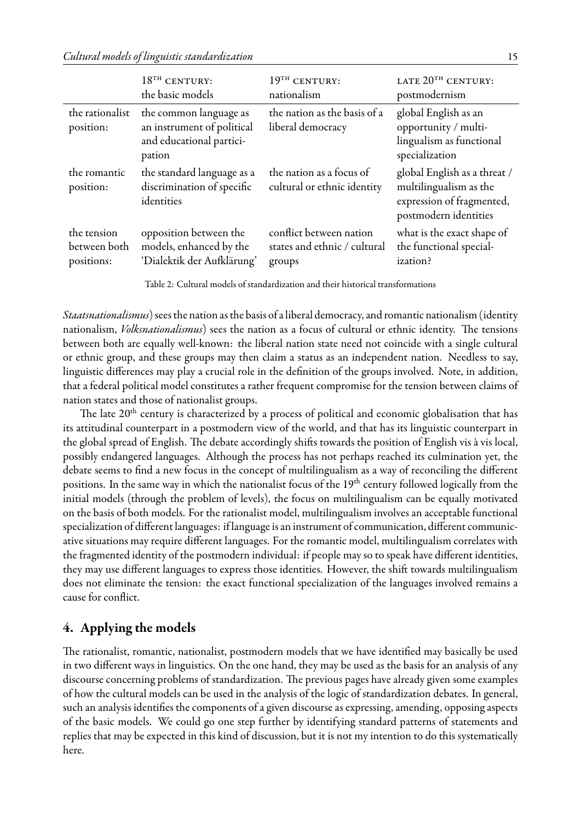|                              | $18TH$ CENTURY:                                                                            | 19 <sup>TH</sup> CENTURY:                               | LATE $20^{TH}$ CENTURY:                                                                                      |
|------------------------------|--------------------------------------------------------------------------------------------|---------------------------------------------------------|--------------------------------------------------------------------------------------------------------------|
|                              | the basic models                                                                           | nationalism                                             | postmodernism                                                                                                |
| the rationalist<br>position: | the common language as<br>an instrument of political<br>and educational partici-<br>pation | the nation as the basis of a<br>liberal democracy       | global English as an<br>opportunity / multi-<br>lingualism as functional<br>specialization                   |
| the romantic<br>position:    | the standard language as a<br>discrimination of specific<br>identities                     | the nation as a focus of<br>cultural or ethnic identity | global English as a threat /<br>multilingualism as the<br>expression of fragmented,<br>postmodern identities |
| the tension                  | opposition between the                                                                     | conflict between nation                                 | what is the exact shape of                                                                                   |
| between both                 | models, enhanced by the                                                                    | states and ethnic / cultural                            | the functional special-                                                                                      |
| positions:                   | 'Dialektik der Aufklärung'                                                                 | groups                                                  | ization?                                                                                                     |

<span id="page-14-1"></span>Table 2: Cultural models of standardization and their historical transformations

*Staatsnationalismus*) sees the nation as the basis of a liberal democracy, and romantic nationalism (identity nationalism, *Volksnationalismus*) sees the nation as a focus of cultural or ethnic identity. The tensions between both are equally well-known: the liberal nation state need not coincide with a single cultural or ethnic group, and these groups may then claim a status as an independent nation. Needless to say, linguistic differences may play a crucial role in the definition of the groups involved. Note, in addition, that a federal political model constitutes a rather frequent compromise for the tension between claims of nation states and those of nationalist groups.

The late 20<sup>th</sup> century is characterized by a process of political and economic globalisation that has its attitudinal counterpart in a postmodern view of the world, and that has its linguistic counterpart in the global spread of English. The debate accordingly shifts towards the position of English vis à vis local, possibly endangered languages. Although the process has not perhaps reached its culmination yet, the debate seems to find a new focus in the concept of multilingualism as a way of reconciling the different positions. In the same way in which the nationalist focus of the 19<sup>th</sup> century followed logically from the initial models (through the problem of levels), the focus on multilingualism can be equally motivated on the basis of both models. For the rationalist model, multilingualism involves an acceptable functional specialization of different languages: if language is an instrument of communication, different communicative situations may require different languages. For the romantic model, multilingualism correlates with the fragmented identity of the postmodern individual: if people may so to speak have different identities, they may use different languages to express those identities. However, the shift towards multilingualism does not eliminate the tension: the exact functional specialization of the languages involved remains a cause for conflict.

## <span id="page-14-0"></span>**4. Applying the models**

The rationalist, romantic, nationalist, postmodern models that we have identified may basically be used in two different ways in linguistics. On the one hand, they may be used as the basis for an analysis of any discourse concerning problems of standardization. The previous pages have already given some examples of how the cultural models can be used in the analysis of the logic of standardization debates. In general, such an analysis identifies the components of a given discourse as expressing, amending, opposing aspects of the basic models. We could go one step further by identifying standard patterns of statements and replies that may be expected in this kind of discussion, but it is not my intention to do this systematically here.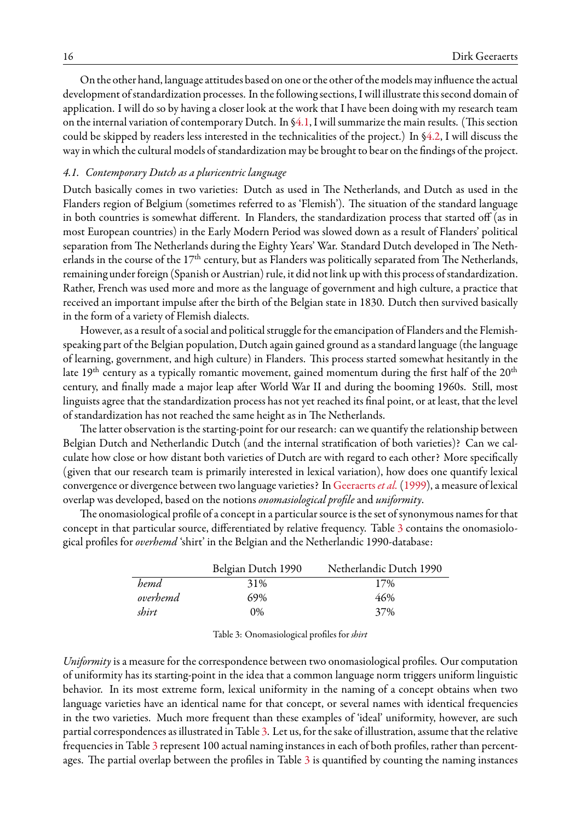On the other hand, language attitudes based on one or the other of the models may influence the actual development of standardization processes. In the following sections, I will illustrate this second domain of application. I will do so by having a closer look at the work that I have been doing with my research team on the internal variation of contemporary Dutch. In§[4.1](#page-15-0), I will summarize the main results. (This section could be skipped by readers less interested in the technicalities of the project.) In [§4.2](#page-17-0), I will discuss the way in which the cultural models of standardization may be brought to bear on the findings of the project.

#### <span id="page-15-0"></span>*4.1. Contemporary Dutch as a pluricentric language*

Dutch basically comes in two varieties: Dutch as used in The Netherlands, and Dutch as used in the Flanders region of Belgium (sometimes referred to as 'Flemish'). The situation of the standard language in both countries is somewhat different. In Flanders, the standardization process that started off (as in most European countries) in the Early Modern Period was slowed down as a result of Flanders' political separation from The Netherlands during the Eighty Years' War. Standard Dutch developed in The Netherlands in the course of the 17<sup>th</sup> century, but as Flanders was politically separated from The Netherlands, remaining under foreign (Spanish or Austrian) rule, it did not link up with this process of standardization. Rather, French was used more and more as the language of government and high culture, a practice that received an important impulse after the birth of the Belgian state in 1830. Dutch then survived basically in the form of a variety of Flemish dialects.

However, as a result of a social and political struggle for the emancipation of Flanders and the Flemishspeaking part of the Belgian population, Dutch again gained ground as a standard language (the language of learning, government, and high culture) in Flanders. This process started somewhat hesitantly in the late 19<sup>th</sup> century as a typically romantic movement, gained momentum during the first half of the 20<sup>th</sup> century, and finally made a major leap after World War II and during the booming 1960s. Still, most linguists agree that the standardization process has not yet reached its final point, or at least, that the level of standardization has not reached the same height as in The Netherlands.

The latter observation is the starting-point for our research: can we quantify the relationship between Belgian Dutch and Netherlandic Dutch (and the internal stratification of both varieties)? Can we calculate how close or how distant both varieties of Dutch are with regard to each other? More specifically (given that our research team is primarily interested in lexical variation), how does one quantify lexical convergence or divergence between two language varieties? In [Geeraerts](#page-20-2)*et al.*([1999](#page-20-2)), a measure of lexical overlap was developed, based on the notions *onomasiological profile* and *uniformity*.

The onomasiological profile of a concept in a particular source is the set of synonymous names for that concept in that particular source, differentiated by relative frequency. Table [3](#page-15-1) contains the onomasiological profiles for *overhemd* 'shirt' in the Belgian and the Netherlandic 1990-database:

|          | Belgian Dutch 1990 | Netherlandic Dutch 1990 |
|----------|--------------------|-------------------------|
| hemd     | 31%                | 17%                     |
| overhemd | 69%                | 46%                     |
| shirt    | $0\%$              | 37%                     |

<span id="page-15-1"></span>Table 3: Onomasiological profiles for *shirt*

*Uniformity* is a measure for the correspondence between two onomasiological profiles. Our computation of uniformity has its starting-point in the idea that a common language norm triggers uniform linguistic behavior. In its most extreme form, lexical uniformity in the naming of a concept obtains when two language varieties have an identical name for that concept, or several names with identical frequencies in the two varieties. Much more frequent than these examples of 'ideal' uniformity, however, are such partial correspondences as illustrated in Table [3.](#page-15-1) Let us, for the sake of illustration, assume that the relative frequencies in Table [3](#page-15-1) represent 100 actual naming instances in each of both profiles, rather than percent-ages. The partial overlap between the profiles in Table [3](#page-15-1) is quantified by counting the naming instances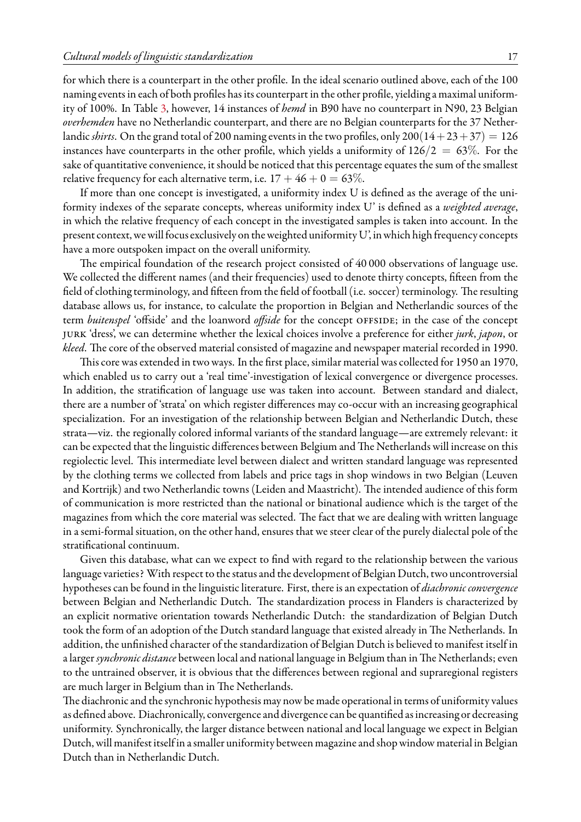for which there is a counterpart in the other profile. In the ideal scenario outlined above, each of the 100 naming events in each of both profiles has its counterpart in the other profile, yielding a maximal uniformity of 100%. In Table [3](#page-15-1), however, 14 instances of *hemd* in B90 have no counterpart in N90, 23 Belgian *overhemden* have no Netherlandic counterpart, and there are no Belgian counterparts for the 37 Netherlandic *shirts*. On the grand total of 200 naming events in the two profiles, only  $200(14+23+37) = 126$ instances have counterparts in the other profile, which yields a uniformity of 126*/*2 = 63%. For the sake of quantitative convenience, it should be noticed that this percentage equates the sum of the smallest relative frequency for each alternative term, i.e.  $17 + 46 + 0 = 63\%$ .

If more than one concept is investigated, a uniformity index U is defined as the average of the uniformity indexes of the separate concepts, whereas uniformity index U' is defined as a *weighted average*, in which the relative frequency of each concept in the investigated samples is taken into account. In the present context, we will focus exclusively on the weighted uniformity U', in which high frequency concepts have a more outspoken impact on the overall uniformity.

The empirical foundation of the research project consisted of 40 000 observations of language use. We collected the different names (and their frequencies) used to denote thirty concepts, fifteen from the field of clothing terminology, and fifteen from the field of football (i.e. soccer) terminology. The resulting database allows us, for instance, to calculate the proportion in Belgian and Netherlandic sources of the term *buitenspel* 'offside' and the loanword *offside* for the concept offside; in the case of the concept jurk 'dress', we can determine whether the lexical choices involve a preference for either *jurk*, *japon*, or *kleed*. The core of the observed material consisted of magazine and newspaper material recorded in 1990.

This core was extended in two ways. In the first place, similar material was collected for 1950 an 1970, which enabled us to carry out a 'real time'-investigation of lexical convergence or divergence processes. In addition, the stratification of language use was taken into account. Between standard and dialect, there are a number of 'strata' on which register differences may co-occur with an increasing geographical specialization. For an investigation of the relationship between Belgian and Netherlandic Dutch, these strata—viz. the regionally colored informal variants of the standard language—are extremely relevant: it can be expected that the linguistic differences between Belgium and The Netherlands will increase on this regiolectic level. This intermediate level between dialect and written standard language was represented by the clothing terms we collected from labels and price tags in shop windows in two Belgian (Leuven and Kortrijk) and two Netherlandic towns (Leiden and Maastricht). The intended audience of this form of communication is more restricted than the national or binational audience which is the target of the magazines from which the core material was selected. The fact that we are dealing with written language in a semi-formal situation, on the other hand, ensures that we steer clear of the purely dialectal pole of the stratificational continuum.

Given this database, what can we expect to find with regard to the relationship between the various language varieties? With respect to the status and the development of Belgian Dutch, two uncontroversial hypotheses can be found in the linguistic literature. First, there is an expectation of *diachronic convergence* between Belgian and Netherlandic Dutch. The standardization process in Flanders is characterized by an explicit normative orientation towards Netherlandic Dutch: the standardization of Belgian Dutch took the form of an adoption of the Dutch standard language that existed already in The Netherlands. In addition, the unfinished character of the standardization of Belgian Dutch is believed to manifest itself in a larger*synchronic distance* between local and national language in Belgium than in The Netherlands; even to the untrained observer, it is obvious that the differences between regional and supraregional registers are much larger in Belgium than in The Netherlands.

The diachronic and the synchronic hypothesis may now be made operational in terms of uniformity values as defined above. Diachronically, convergence and divergence can be quantified as increasing or decreasing uniformity. Synchronically, the larger distance between national and local language we expect in Belgian Dutch, will manifest itself in a smaller uniformity between magazine and shop window material in Belgian Dutch than in Netherlandic Dutch.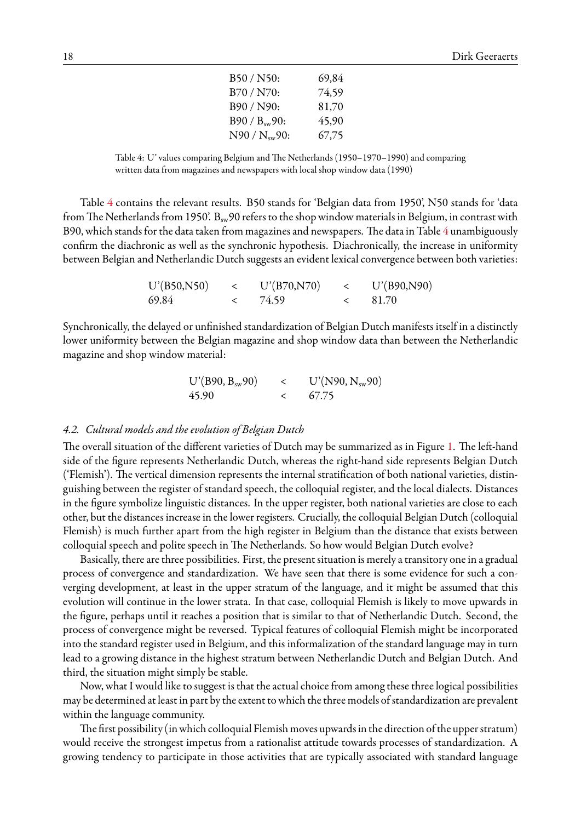| B50 / N50:         | 69,84 |
|--------------------|-------|
| B70 / N70:         | 74,59 |
| B90 / N90:         | 81.70 |
| $B90 / B_{sw}90$ : | 45,90 |
| $N90/N_{sw}90:$    | 67,75 |

<span id="page-17-1"></span>Table 4: U' values comparing Belgium and The Netherlands (1950–1970–1990) and comparing written data from magazines and newspapers with local shop window data (1990)

Table [4](#page-17-1) contains the relevant results. B50 stands for 'Belgian data from 1950', N50 stands for 'data from The Netherlands from 1950'.  $B_{sw}$ 90 refers to the shop window materials in Belgium, in contrast with B90, which stands for the data taken from magazines and newspapers. The data in Table [4](#page-17-1) unambiguously confirm the diachronic as well as the synchronic hypothesis. Diachronically, the increase in uniformity between Belgian and Netherlandic Dutch suggests an evident lexical convergence between both varieties:

| U'(B50,N50) | U'(B70, N70) | U'(B90,N90) |
|-------------|--------------|-------------|
| 69.84       | 74.59        | 81.70       |

Synchronically, the delayed or unfinished standardization of Belgian Dutch manifests itself in a distinctly lower uniformity between the Belgian magazine and shop window data than between the Netherlandic magazine and shop window material:

$$
U'(B90, Bsw90) \n45.90 \n
$$
U'(N90, Nsw90)
$$
\n
$$
67.75
$$
$$

#### <span id="page-17-0"></span>*4.2. Cultural models and the evolution of Belgian Dutch*

The overall situation of the different varieties of Dutch may be summarized as in Figure [1](#page-18-0). The left-hand side of the figure represents Netherlandic Dutch, whereas the right-hand side represents Belgian Dutch ('Flemish'). The vertical dimension represents the internal stratification of both national varieties, distinguishing between the register of standard speech, the colloquial register, and the local dialects. Distances in the figure symbolize linguistic distances. In the upper register, both national varieties are close to each other, but the distances increase in the lower registers. Crucially, the colloquial Belgian Dutch (colloquial Flemish) is much further apart from the high register in Belgium than the distance that exists between colloquial speech and polite speech in The Netherlands. So how would Belgian Dutch evolve?

Basically, there are three possibilities. First, the present situation is merely a transitory one in a gradual process of convergence and standardization. We have seen that there is some evidence for such a converging development, at least in the upper stratum of the language, and it might be assumed that this evolution will continue in the lower strata. In that case, colloquial Flemish is likely to move upwards in the figure, perhaps until it reaches a position that is similar to that of Netherlandic Dutch. Second, the process of convergence might be reversed. Typical features of colloquial Flemish might be incorporated into the standard register used in Belgium, and this informalization of the standard language may in turn lead to a growing distance in the highest stratum between Netherlandic Dutch and Belgian Dutch. And third, the situation might simply be stable.

Now, what I would like to suggest is that the actual choice from among these three logical possibilities may be determined at least in part by the extent to which the three models of standardization are prevalent within the language community.

The first possibility (in which colloquial Flemish moves upwards in the direction of the upper stratum) would receive the strongest impetus from a rationalist attitude towards processes of standardization. A growing tendency to participate in those activities that are typically associated with standard language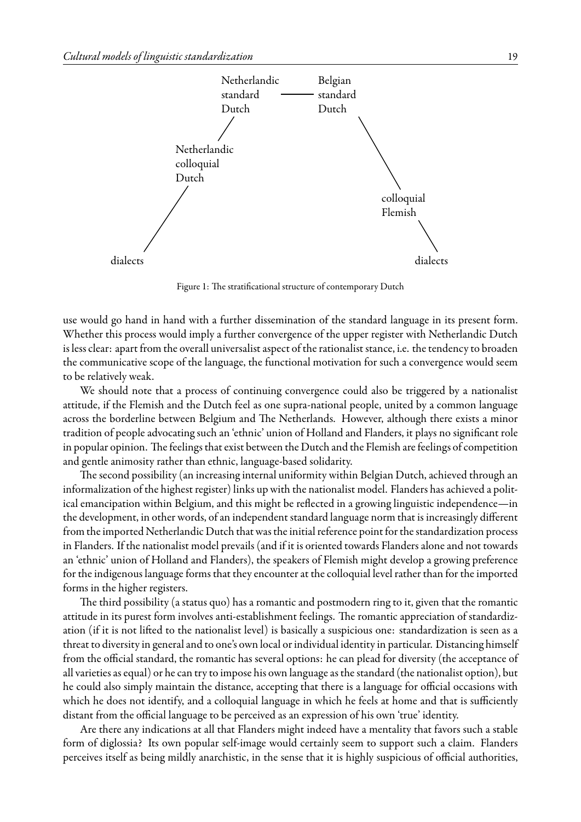

<span id="page-18-0"></span>Figure 1: The stratificational structure of contemporary Dutch

use would go hand in hand with a further dissemination of the standard language in its present form. Whether this process would imply a further convergence of the upper register with Netherlandic Dutch is less clear: apart from the overall universalist aspect of the rationalist stance, i.e. the tendency to broaden the communicative scope of the language, the functional motivation for such a convergence would seem to be relatively weak.

We should note that a process of continuing convergence could also be triggered by a nationalist attitude, if the Flemish and the Dutch feel as one supra-national people, united by a common language across the borderline between Belgium and The Netherlands. However, although there exists a minor tradition of people advocating such an 'ethnic' union of Holland and Flanders, it plays no significant role in popular opinion. The feelings that exist between the Dutch and the Flemish are feelings of competition and gentle animosity rather than ethnic, language-based solidarity.

The second possibility (an increasing internal uniformity within Belgian Dutch, achieved through an informalization of the highest register) links up with the nationalist model. Flanders has achieved a political emancipation within Belgium, and this might be reflected in a growing linguistic independence—in the development, in other words, of an independent standard language norm that is increasingly different from the imported Netherlandic Dutch that was the initial reference point for the standardization process in Flanders. If the nationalist model prevails (and if it is oriented towards Flanders alone and not towards an 'ethnic' union of Holland and Flanders), the speakers of Flemish might develop a growing preference for the indigenous language forms that they encounter at the colloquial level rather than for the imported forms in the higher registers.

The third possibility (a status quo) has a romantic and postmodern ring to it, given that the romantic attitude in its purest form involves anti-establishment feelings. The romantic appreciation of standardization (if it is not lifted to the nationalist level) is basically a suspicious one: standardization is seen as a threat to diversity in general and to one's own local or individual identity in particular. Distancing himself from the official standard, the romantic has several options: he can plead for diversity (the acceptance of all varieties as equal) or he can try to impose his own language as the standard (the nationalist option), but he could also simply maintain the distance, accepting that there is a language for official occasions with which he does not identify, and a colloquial language in which he feels at home and that is sufficiently distant from the official language to be perceived as an expression of his own 'true' identity.

Are there any indications at all that Flanders might indeed have a mentality that favors such a stable form of diglossia? Its own popular self-image would certainly seem to support such a claim. Flanders perceives itself as being mildly anarchistic, in the sense that it is highly suspicious of official authorities,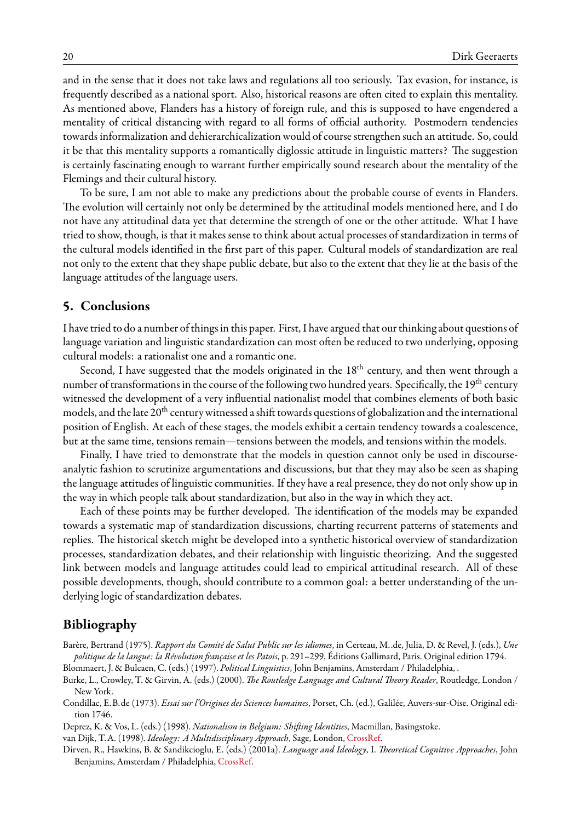and in the sense that it does not take laws and regulations all too seriously. Tax evasion, for instance, is frequently described as a national sport. Also, historical reasons are often cited to explain this mentality. As mentioned above, Flanders has a history of foreign rule, and this is supposed to have engendered a mentality of critical distancing with regard to all forms of official authority. Postmodern tendencies towards informalization and dehierarchicalization would of course strengthen such an attitude. So, could it be that this mentality supports a romantically diglossic attitude in linguistic matters? The suggestion is certainly fascinating enough to warrant further empirically sound research about the mentality of the Flemings and their cultural history.

To be sure, I am not able to make any predictions about the probable course of events in Flanders. The evolution will certainly not only be determined by the attitudinal models mentioned here, and I do not have any attitudinal data yet that determine the strength of one or the other attitude. What I have tried to show, though, is that it makes sense to think about actual processes of standardization in terms of the cultural models identified in the first part of this paper. Cultural models of standardization are real not only to the extent that they shape public debate, but also to the extent that they lie at the basis of the language attitudes of the language users.

## **5. Conclusions**

I have tried to do a number of things in this paper. First, I have argued that our thinking about questions of language variation and linguistic standardization can most often be reduced to two underlying, opposing cultural models: a rationalist one and a romantic one.

Second, I have suggested that the models originated in the 18<sup>th</sup> century, and then went through a number of transformations in the course of the following two hundred years. Specifically, the 19<sup>th</sup> century witnessed the development of a very influential nationalist model that combines elements of both basic models, and the late 20<sup>th</sup> century witnessed a shift towards questions of globalization and the international position of English. At each of these stages, the models exhibit a certain tendency towards a coalescence, but at the same time, tensions remain—tensions between the models, and tensions within the models.

Finally, I have tried to demonstrate that the models in question cannot only be used in discourseanalytic fashion to scrutinize argumentations and discussions, but that they may also be seen as shaping the language attitudes of linguistic communities. If they have a real presence, they do not only show up in the way in which people talk about standardization, but also in the way in which they act.

Each of these points may be further developed. The identification of the models may be expanded towards a systematic map of standardization discussions, charting recurrent patterns of statements and replies. The historical sketch might be developed into a synthetic historical overview of standardization processes, standardization debates, and their relationship with linguistic theorizing. And the suggested link between models and language attitudes could lead to empirical attitudinal research. All of these possible developments, though, should contribute to a common goal: a better understanding of the underlying logic of standardization debates.

## <span id="page-19-0"></span>**Bibliography**

- <span id="page-19-3"></span>Barère, Bertrand (1975). *Rapport du Comité de Salut Public sur les idiomes*, in Certeau, M. .de, Julia, D. & Revel, J. (eds.), *Une politique de la langue: la Révolution française et les Patois*, p. 291–299, Éditions Gallimard, Paris. Original edition 1794.
- <span id="page-19-2"></span>Blommaert, J. & Bulcaen, C. (eds.) (1997). *Political Linguistics*, John Benjamins, Amsterdam / Philadelphia, .
- Burke, L., Crowley, T. & Girvin, A. (eds.) (2000). *The Routledge Language and Cultural Theory Reader*, Routledge, London / New York.
- <span id="page-19-4"></span>Condillac, E. B. de (1973). *Essai sur l'Origines des Sciences humaines*, Porset, Ch. (ed.), Galilée, Auvers-sur-Oise. Original edition 1746.
- <span id="page-19-5"></span>Deprez, K. & Vos, L. (eds.) (1998). *Nationalism in Belgium: Shifting Identities*, Macmillan, Basingstoke.

<span id="page-19-1"></span>van Dijk, T.A. (1998). *Ideology: A Multidisciplinary Approach*, Sage, London, [CrossRef.](http://dx.doi.org/10.4135/9781446217856)

Dirven, R., Hawkins, B. & Sandikcioglu, E. (eds.) (2001a). *Language and Ideology*, I. *Theoretical Cognitive Approaches*, John Benjamins, Amsterdam / Philadelphia, [CrossRef.](http://dx.doi.org/10.1075/cilt.204)